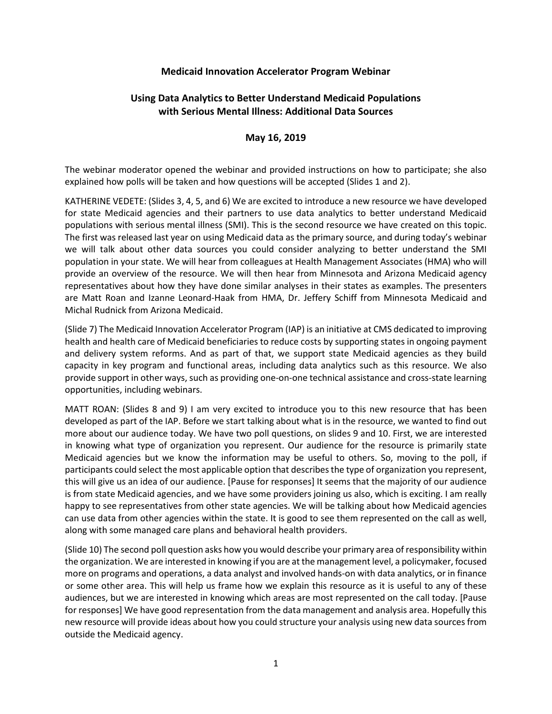#### **Medicaid Innovation Accelerator Program Webinar**

# **Using Data Analytics to Better Understand Medicaid Populations with Serious Mental Illness: Additional Data Sources**

### **May 16, 2019**

The webinar moderator opened the webinar and provided instructions on how to participate; she also explained how polls will be taken and how questions will be accepted (Slides 1 and 2).

KATHERINE VEDETE: (Slides 3, 4, 5, and 6) We are excited to introduce a new resource we have developed for state Medicaid agencies and their partners to use data analytics to better understand Medicaid populations with serious mental illness (SMI). This is the second resource we have created on this topic. The first was released last year on using Medicaid data as the primary source, and during today's webinar we will talk about other data sources you could consider analyzing to better understand the SMI population in your state. We will hear from colleagues at Health Management Associates (HMA) who will provide an overview of the resource. We will then hear from Minnesota and Arizona Medicaid agency representatives about how they have done similar analyses in their states as examples. The presenters are Matt Roan and Izanne Leonard-Haak from HMA, Dr. Jeffery Schiff from Minnesota Medicaid and Michal Rudnick from Arizona Medicaid.

(Slide 7) The Medicaid Innovation Accelerator Program (IAP) is an initiative at CMS dedicated to improving health and health care of Medicaid beneficiaries to reduce costs by supporting states in ongoing payment and delivery system reforms. And as part of that, we support state Medicaid agencies as they build capacity in key program and functional areas, including data analytics such as this resource. We also provide support in other ways, such as providing one-on-one technical assistance and cross-state learning opportunities, including webinars.

MATT ROAN: (Slides 8 and 9) I am very excited to introduce you to this new resource that has been developed as part of the IAP. Before we start talking about what is in the resource, we wanted to find out more about our audience today. We have two poll questions, on slides 9 and 10. First, we are interested in knowing what type of organization you represent. Our audience for the resource is primarily state Medicaid agencies but we know the information may be useful to others. So, moving to the poll, if participants could select the most applicable option that describes the type of organization you represent, this will give us an idea of our audience. [Pause for responses] It seems that the majority of our audience is from state Medicaid agencies, and we have some providers joining us also, which is exciting. I am really happy to see representatives from other state agencies. We will be talking about how Medicaid agencies can use data from other agencies within the state. It is good to see them represented on the call as well, along with some managed care plans and behavioral health providers.

(Slide 10) The second poll question asks how you would describe your primary area of responsibility within the organization. We are interested in knowing if you are at the management level, a policymaker, focused more on programs and operations, a data analyst and involved hands-on with data analytics, or in finance or some other area. This will help us frame how we explain this resource as it is useful to any of these audiences, but we are interested in knowing which areas are most represented on the call today. [Pause for responses] We have good representation from the data management and analysis area. Hopefully this new resource will provide ideas about how you could structure your analysis using new data sources from outside the Medicaid agency.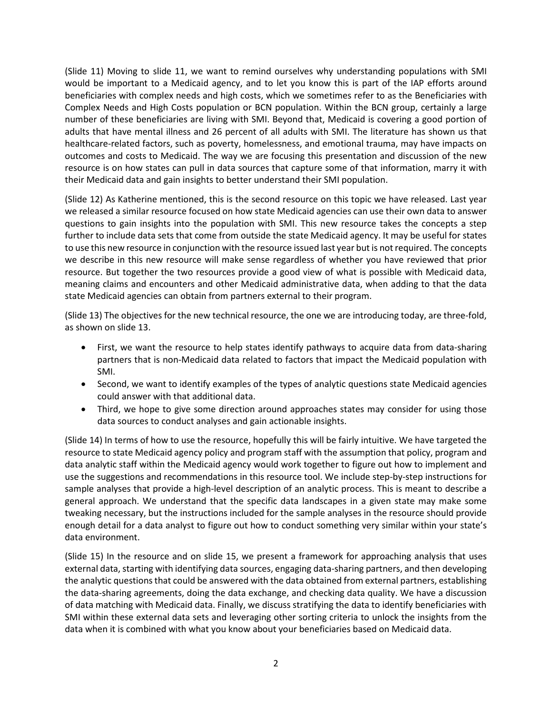(Slide 11) Moving to slide 11, we want to remind ourselves why understanding populations with SMI would be important to a Medicaid agency, and to let you know this is part of the IAP efforts around beneficiaries with complex needs and high costs, which we sometimes refer to as the Beneficiaries with Complex Needs and High Costs population or BCN population. Within the BCN group, certainly a large number of these beneficiaries are living with SMI. Beyond that, Medicaid is covering a good portion of adults that have mental illness and 26 percent of all adults with SMI. The literature has shown us that healthcare-related factors, such as poverty, homelessness, and emotional trauma, may have impacts on outcomes and costs to Medicaid. The way we are focusing this presentation and discussion of the new resource is on how states can pull in data sources that capture some of that information, marry it with their Medicaid data and gain insights to better understand their SMI population.

(Slide 12) As Katherine mentioned, this is the second resource on this topic we have released. Last year we released a similar resource focused on how state Medicaid agencies can use their own data to answer questions to gain insights into the population with SMI. This new resource takes the concepts a step further to include data sets that come from outside the state Medicaid agency. It may be useful for states to use this new resource in conjunction with the resource issued last year but is not required. The concepts we describe in this new resource will make sense regardless of whether you have reviewed that prior resource. But together the two resources provide a good view of what is possible with Medicaid data, meaning claims and encounters and other Medicaid administrative data, when adding to that the data state Medicaid agencies can obtain from partners external to their program.

(Slide 13) The objectives for the new technical resource, the one we are introducing today, are three-fold, as shown on slide 13.

- First, we want the resource to help states identify pathways to acquire data from data-sharing partners that is non-Medicaid data related to factors that impact the Medicaid population with SMI.
- Second, we want to identify examples of the types of analytic questions state Medicaid agencies could answer with that additional data.
- Third, we hope to give some direction around approaches states may consider for using those data sources to conduct analyses and gain actionable insights.

(Slide 14) In terms of how to use the resource, hopefully this will be fairly intuitive. We have targeted the resource to state Medicaid agency policy and program staff with the assumption that policy, program and data analytic staff within the Medicaid agency would work together to figure out how to implement and use the suggestions and recommendations in this resource tool. We include step-by-step instructions for sample analyses that provide a high-level description of an analytic process. This is meant to describe a general approach. We understand that the specific data landscapes in a given state may make some tweaking necessary, but the instructions included for the sample analyses in the resource should provide enough detail for a data analyst to figure out how to conduct something very similar within your state's data environment.

(Slide 15) In the resource and on slide 15, we present a framework for approaching analysis that uses external data, starting with identifying data sources, engaging data-sharing partners, and then developing the analytic questions that could be answered with the data obtained from external partners, establishing the data-sharing agreements, doing the data exchange, and checking data quality. We have a discussion of data matching with Medicaid data. Finally, we discuss stratifying the data to identify beneficiaries with SMI within these external data sets and leveraging other sorting criteria to unlock the insights from the data when it is combined with what you know about your beneficiaries based on Medicaid data.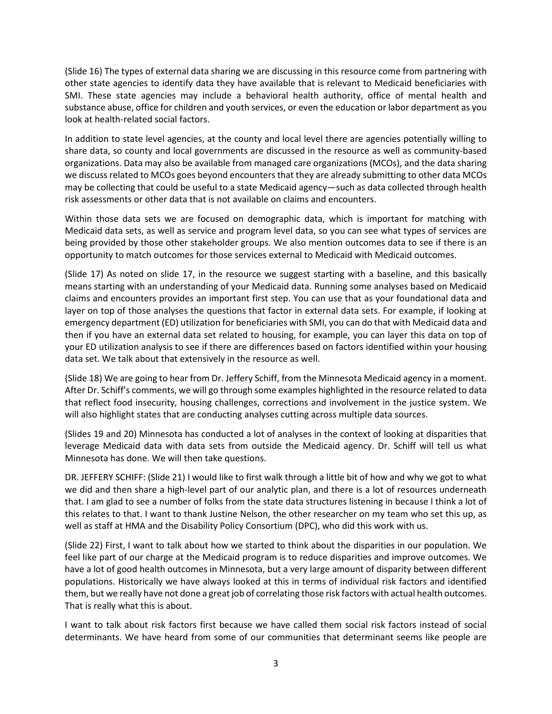(Slide 16) The types of external data sharing we are discussing in this resource come from partnering with other state agencies to identify data they have available that is relevant to Medicaid beneficiaries with SMI. These state agencies may include a behavioral health authority, office of mental health and substance abuse, office for children and youth services, or even the education or labor department as you look at health-related social factors.

In addition to state level agencies, at the county and local level there are agencies potentially willing to share data, so county and local governments are discussed in the resource as well as community-based organizations. Data may also be available from managed care organizations (MCOs), and the data sharing we discuss related to MCOs goes beyond encounters that they are already submitting to other data MCOs may be collecting that could be useful to a state Medicaid agency—such as data collected through health risk assessments or other data that is not available on claims and encounters.

Within those data sets we are focused on demographic data, which is important for matching with Medicaid data sets, as well as service and program level data, so you can see what types of services are being provided by those other stakeholder groups. We also mention outcomes data to see if there is an opportunity to match outcomes for those services external to Medicaid with Medicaid outcomes.

(Slide 17) As noted on slide 17, in the resource we suggest starting with a baseline, and this basically means starting with an understanding of your Medicaid data. Running some analyses based on Medicaid claims and encounters provides an important first step. You can use that as your foundational data and layer on top of those analyses the questions that factor in external data sets. For example, if looking at emergency department (ED) utilization for beneficiaries with SMI, you can do that with Medicaid data and then if you have an external data set related to housing, for example, you can layer this data on top of your ED utilization analysis to see if there are differences based on factors identified within your housing data set. We talk about that extensively in the resource as well.

(Slide 18) We are going to hear from Dr. Jeffery Schiff, from the Minnesota Medicaid agency in a moment. After Dr. Schiff's comments, we will go through some examples highlighted in the resource related to data that reflect food insecurity, housing challenges, corrections and involvement in the justice system. We will also highlight states that are conducting analyses cutting across multiple data sources.

(Slides 19 and 20) Minnesota has conducted a lot of analyses in the context of looking at disparities that leverage Medicaid data with data sets from outside the Medicaid agency. Dr. Schiff will tell us what Minnesota has done. We will then take questions.

DR. JEFFERY SCHIFF: (Slide 21) I would like to first walk through a little bit of how and why we got to what we did and then share a high-level part of our analytic plan, and there is a lot of resources underneath that. I am glad to see a number of folks from the state data structures listening in because I think a lot of this relates to that. I want to thank Justine Nelson, the other researcher on my team who set this up, as well as staff at HMA and the Disability Policy Consortium (DPC), who did this work with us.

(Slide 22) First, I want to talk about how we started to think about the disparities in our population. We feel like part of our charge at the Medicaid program is to reduce disparities and improve outcomes. We have a lot of good health outcomes in Minnesota, but a very large amount of disparity between different populations. Historically we have always looked at this in terms of individual risk factors and identified them, but we really have not done a great job of correlating those risk factors with actual health outcomes. That is really what this is about.

I want to talk about risk factors first because we have called them social risk factors instead of social determinants. We have heard from some of our communities that determinant seems like people are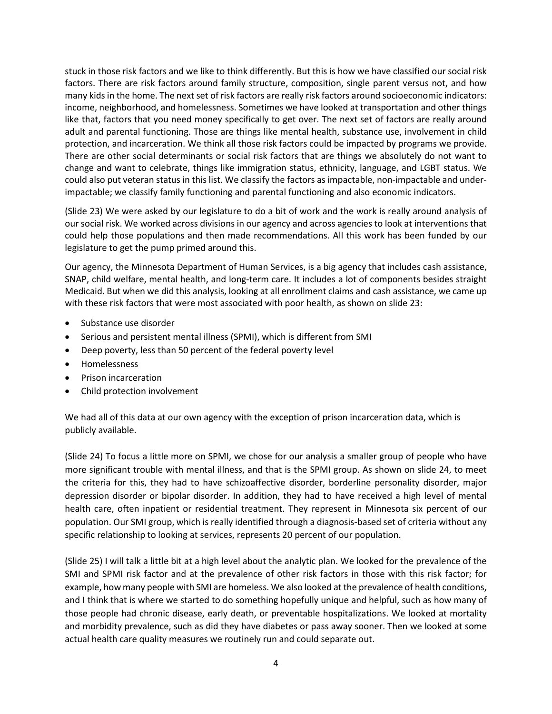stuck in those risk factors and we like to think differently. But this is how we have classified our social risk factors. There are risk factors around family structure, composition, single parent versus not, and how many kidsin the home. The next set of risk factors are really risk factors around socioeconomic indicators: income, neighborhood, and homelessness. Sometimes we have looked at transportation and other things like that, factors that you need money specifically to get over. The next set of factors are really around adult and parental functioning. Those are things like mental health, substance use, involvement in child protection, and incarceration. We think all those risk factors could be impacted by programs we provide. There are other social determinants or social risk factors that are things we absolutely do not want to change and want to celebrate, things like immigration status, ethnicity, language, and LGBT status. We could also put veteran status in this list. We classify the factors as impactable, non-impactable and underimpactable; we classify family functioning and parental functioning and also economic indicators.

(Slide 23) We were asked by our legislature to do a bit of work and the work is really around analysis of our social risk. We worked across divisions in our agency and across agencies to look at interventions that could help those populations and then made recommendations. All this work has been funded by our legislature to get the pump primed around this.

Our agency, the Minnesota Department of Human Services, is a big agency that includes cash assistance, SNAP, child welfare, mental health, and long-term care. It includes a lot of components besides straight Medicaid. But when we did this analysis, looking at all enrollment claims and cash assistance, we came up with these risk factors that were most associated with poor health, as shown on slide 23:

- Substance use disorder
- Serious and persistent mental illness (SPMI), which is different from SMI
- Deep poverty, less than 50 percent of the federal poverty level
- Homelessness
- Prison incarceration
- Child protection involvement

We had all of this data at our own agency with the exception of prison incarceration data, which is publicly available.

(Slide 24) To focus a little more on SPMI, we chose for our analysis a smaller group of people who have more significant trouble with mental illness, and that is the SPMI group. As shown on slide 24, to meet the criteria for this, they had to have schizoaffective disorder, borderline personality disorder, major depression disorder or bipolar disorder. In addition, they had to have received a high level of mental health care, often inpatient or residential treatment. They represent in Minnesota six percent of our population. Our SMI group, which is really identified through a diagnosis-based set of criteria without any specific relationship to looking at services, represents 20 percent of our population.

(Slide 25) I will talk a little bit at a high level about the analytic plan. We looked for the prevalence of the SMI and SPMI risk factor and at the prevalence of other risk factors in those with this risk factor; for example, how many people with SMI are homeless. We also looked at the prevalence of health conditions, and I think that is where we started to do something hopefully unique and helpful, such as how many of those people had chronic disease, early death, or preventable hospitalizations. We looked at mortality and morbidity prevalence, such as did they have diabetes or pass away sooner. Then we looked at some actual health care quality measures we routinely run and could separate out.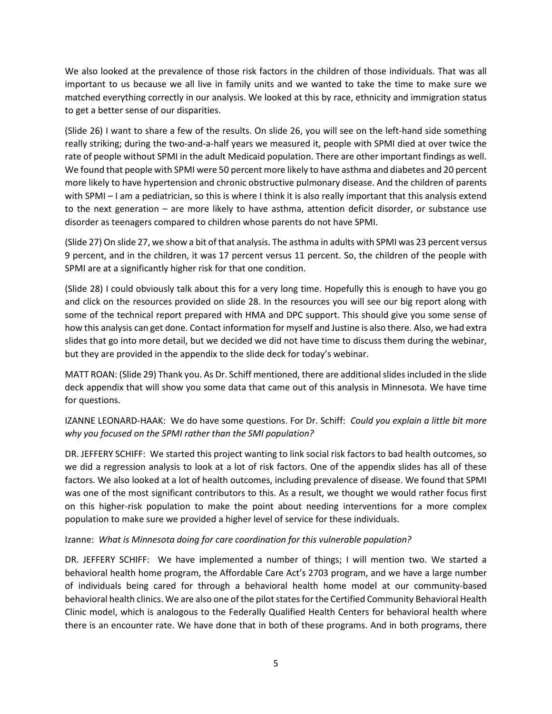We also looked at the prevalence of those risk factors in the children of those individuals. That was all important to us because we all live in family units and we wanted to take the time to make sure we matched everything correctly in our analysis. We looked at this by race, ethnicity and immigration status to get a better sense of our disparities.

(Slide 26) I want to share a few of the results. On slide 26, you will see on the left-hand side something really striking; during the two-and-a-half years we measured it, people with SPMI died at over twice the rate of people without SPMI in the adult Medicaid population. There are other important findings as well. We found that people with SPMI were 50 percent more likely to have asthma and diabetes and 20 percent more likely to have hypertension and chronic obstructive pulmonary disease. And the children of parents with SPMI – I am a pediatrician, so this is where I think it is also really important that this analysis extend to the next generation – are more likely to have asthma, attention deficit disorder, or substance use disorder as teenagers compared to children whose parents do not have SPMI.

(Slide 27) On slide 27, we show a bit of that analysis. The asthma in adults with SPMI was 23 percent versus 9 percent, and in the children, it was 17 percent versus 11 percent. So, the children of the people with SPMI are at a significantly higher risk for that one condition.

(Slide 28) I could obviously talk about this for a very long time. Hopefully this is enough to have you go and click on the resources provided on slide 28. In the resources you will see our big report along with some of the technical report prepared with HMA and DPC support. This should give you some sense of how this analysis can get done. Contact information for myself and Justine is also there. Also, we had extra slides that go into more detail, but we decided we did not have time to discuss them during the webinar, but they are provided in the appendix to the slide deck for today's webinar.

MATT ROAN: (Slide 29) Thank you. As Dr. Schiff mentioned, there are additional slides included in the slide deck appendix that will show you some data that came out of this analysis in Minnesota. We have time for questions.

IZANNE LEONARD-HAAK: We do have some questions. For Dr. Schiff: *Could you explain a little bit more why you focused on the SPMI rather than the SMI population?*

DR. JEFFERY SCHIFF: We started this project wanting to link social risk factors to bad health outcomes, so we did a regression analysis to look at a lot of risk factors. One of the appendix slides has all of these factors. We also looked at a lot of health outcomes, including prevalence of disease. We found that SPMI was one of the most significant contributors to this. As a result, we thought we would rather focus first on this higher-risk population to make the point about needing interventions for a more complex population to make sure we provided a higher level of service for these individuals.

Izanne: *What is Minnesota doing for care coordination for this vulnerable population?*

DR. JEFFERY SCHIFF: We have implemented a number of things; I will mention two. We started a behavioral health home program, the Affordable Care Act's 2703 program, and we have a large number of individuals being cared for through a behavioral health home model at our community-based behavioral health clinics. We are also one of the pilot states for the Certified Community Behavioral Health Clinic model, which is analogous to the Federally Qualified Health Centers for behavioral health where there is an encounter rate. We have done that in both of these programs. And in both programs, there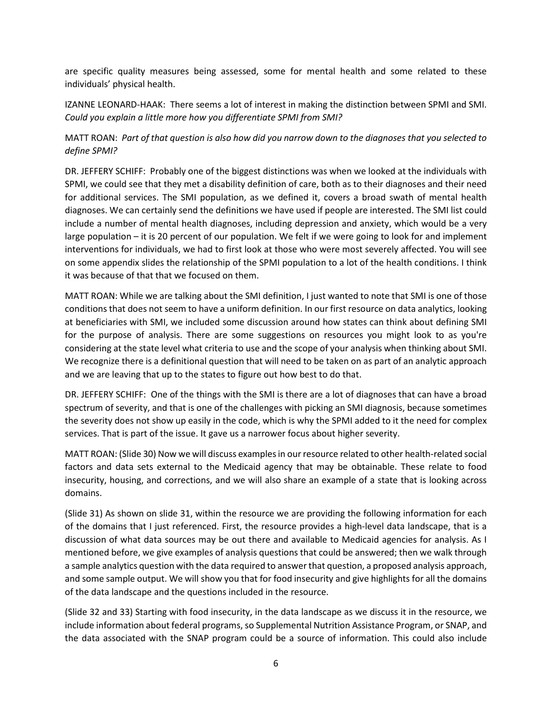are specific quality measures being assessed, some for mental health and some related to these individuals' physical health.

IZANNE LEONARD-HAAK: There seems a lot of interest in making the distinction between SPMI and SMI. *Could you explain a little more how you differentiate SPMI from SMI?*

MATT ROAN: *Part of that question is also how did you narrow down to the diagnoses that you selected to define SPMI?*

DR. JEFFERY SCHIFF: Probably one of the biggest distinctions was when we looked at the individuals with SPMI, we could see that they met a disability definition of care, both as to their diagnoses and their need for additional services. The SMI population, as we defined it, covers a broad swath of mental health diagnoses. We can certainly send the definitions we have used if people are interested. The SMI list could include a number of mental health diagnoses, including depression and anxiety, which would be a very large population – it is 20 percent of our population. We felt if we were going to look for and implement interventions for individuals, we had to first look at those who were most severely affected. You will see on some appendix slides the relationship of the SPMI population to a lot of the health conditions. I think it was because of that that we focused on them.

MATT ROAN: While we are talking about the SMI definition, I just wanted to note that SMI is one of those conditions that does not seem to have a uniform definition. In our first resource on data analytics, looking at beneficiaries with SMI, we included some discussion around how states can think about defining SMI for the purpose of analysis. There are some suggestions on resources you might look to as you're considering at the state level what criteria to use and the scope of your analysis when thinking about SMI. We recognize there is a definitional question that will need to be taken on as part of an analytic approach and we are leaving that up to the states to figure out how best to do that.

DR. JEFFERY SCHIFF: One of the things with the SMI is there are a lot of diagnoses that can have a broad spectrum of severity, and that is one of the challenges with picking an SMI diagnosis, because sometimes the severity does not show up easily in the code, which is why the SPMI added to it the need for complex services. That is part of the issue. It gave us a narrower focus about higher severity.

MATT ROAN: (Slide 30) Now we will discuss examples in our resource related to other health-related social factors and data sets external to the Medicaid agency that may be obtainable. These relate to food insecurity, housing, and corrections, and we will also share an example of a state that is looking across domains.

(Slide 31) As shown on slide 31, within the resource we are providing the following information for each of the domains that I just referenced. First, the resource provides a high-level data landscape, that is a discussion of what data sources may be out there and available to Medicaid agencies for analysis. As I mentioned before, we give examples of analysis questions that could be answered; then we walk through a sample analytics question with the data required to answer that question, a proposed analysis approach, and some sample output. We will show you that for food insecurity and give highlights for all the domains of the data landscape and the questions included in the resource.

(Slide 32 and 33) Starting with food insecurity, in the data landscape as we discuss it in the resource, we include information about federal programs, so Supplemental Nutrition Assistance Program, or SNAP, and the data associated with the SNAP program could be a source of information. This could also include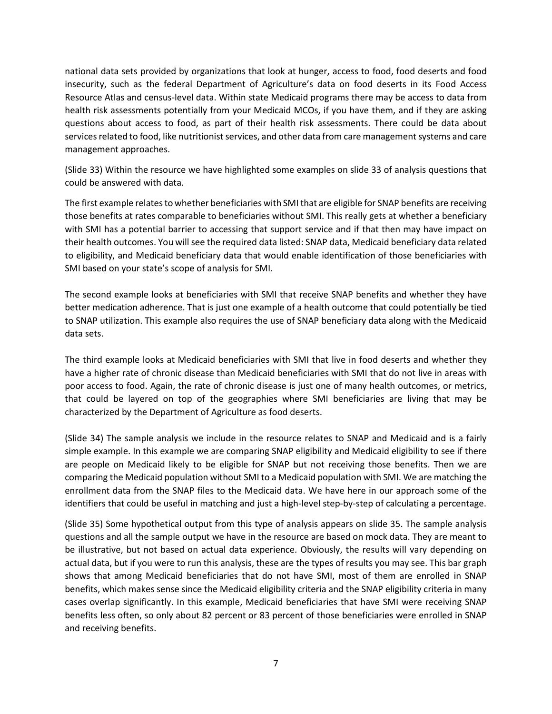national data sets provided by organizations that look at hunger, access to food, food deserts and food insecurity, such as the federal Department of Agriculture's data on food deserts in its Food Access Resource Atlas and census-level data. Within state Medicaid programs there may be access to data from health risk assessments potentially from your Medicaid MCOs, if you have them, and if they are asking questions about access to food, as part of their health risk assessments. There could be data about services related to food, like nutritionist services, and other data from care management systems and care management approaches.

(Slide 33) Within the resource we have highlighted some examples on slide 33 of analysis questions that could be answered with data.

The first example relates to whether beneficiaries with SMI that are eligible for SNAP benefits are receiving those benefits at rates comparable to beneficiaries without SMI. This really gets at whether a beneficiary with SMI has a potential barrier to accessing that support service and if that then may have impact on their health outcomes. You will see the required data listed: SNAP data, Medicaid beneficiary data related to eligibility, and Medicaid beneficiary data that would enable identification of those beneficiaries with SMI based on your state's scope of analysis for SMI.

The second example looks at beneficiaries with SMI that receive SNAP benefits and whether they have better medication adherence. That is just one example of a health outcome that could potentially be tied to SNAP utilization. This example also requires the use of SNAP beneficiary data along with the Medicaid data sets.

The third example looks at Medicaid beneficiaries with SMI that live in food deserts and whether they have a higher rate of chronic disease than Medicaid beneficiaries with SMI that do not live in areas with poor access to food. Again, the rate of chronic disease is just one of many health outcomes, or metrics, that could be layered on top of the geographies where SMI beneficiaries are living that may be characterized by the Department of Agriculture as food deserts.

(Slide 34) The sample analysis we include in the resource relates to SNAP and Medicaid and is a fairly simple example. In this example we are comparing SNAP eligibility and Medicaid eligibility to see if there are people on Medicaid likely to be eligible for SNAP but not receiving those benefits. Then we are comparing the Medicaid population without SMI to a Medicaid population with SMI. We are matching the enrollment data from the SNAP files to the Medicaid data. We have here in our approach some of the identifiers that could be useful in matching and just a high-level step-by-step of calculating a percentage.

(Slide 35) Some hypothetical output from this type of analysis appears on slide 35. The sample analysis questions and all the sample output we have in the resource are based on mock data. They are meant to be illustrative, but not based on actual data experience. Obviously, the results will vary depending on actual data, but if you were to run this analysis, these are the types of results you may see. This bar graph shows that among Medicaid beneficiaries that do not have SMI, most of them are enrolled in SNAP benefits, which makes sense since the Medicaid eligibility criteria and the SNAP eligibility criteria in many cases overlap significantly. In this example, Medicaid beneficiaries that have SMI were receiving SNAP benefits less often, so only about 82 percent or 83 percent of those beneficiaries were enrolled in SNAP and receiving benefits.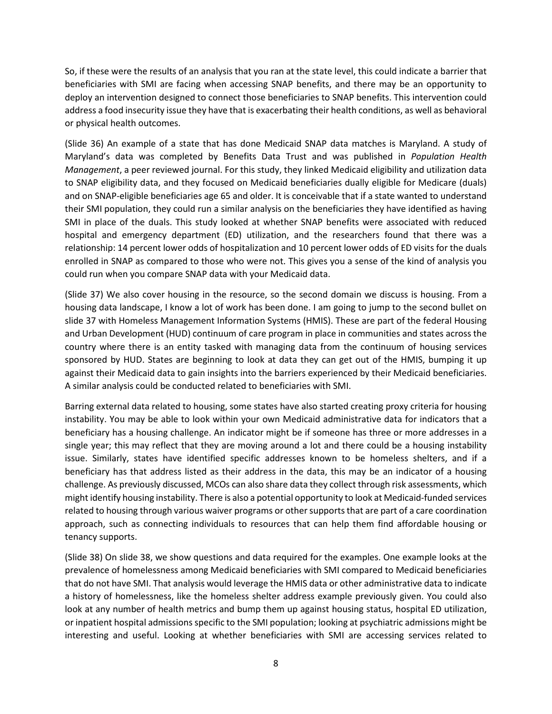So, if these were the results of an analysis that you ran at the state level, this could indicate a barrier that beneficiaries with SMI are facing when accessing SNAP benefits, and there may be an opportunity to deploy an intervention designed to connect those beneficiaries to SNAP benefits. This intervention could address a food insecurity issue they have that is exacerbating their health conditions, as well as behavioral or physical health outcomes.

(Slide 36) An example of a state that has done Medicaid SNAP data matches is Maryland. A study of Maryland's data was completed by Benefits Data Trust and was published in *Population Health Management*, a peer reviewed journal. For this study, they linked Medicaid eligibility and utilization data to SNAP eligibility data, and they focused on Medicaid beneficiaries dually eligible for Medicare (duals) and on SNAP-eligible beneficiaries age 65 and older. It is conceivable that if a state wanted to understand their SMI population, they could run a similar analysis on the beneficiaries they have identified as having SMI in place of the duals. This study looked at whether SNAP benefits were associated with reduced hospital and emergency department (ED) utilization, and the researchers found that there was a relationship: 14 percent lower odds of hospitalization and 10 percent lower odds of ED visits for the duals enrolled in SNAP as compared to those who were not. This gives you a sense of the kind of analysis you could run when you compare SNAP data with your Medicaid data.

(Slide 37) We also cover housing in the resource, so the second domain we discuss is housing. From a housing data landscape, I know a lot of work has been done. I am going to jump to the second bullet on slide 37 with Homeless Management Information Systems (HMIS). These are part of the federal Housing and Urban Development (HUD) continuum of care program in place in communities and states across the country where there is an entity tasked with managing data from the continuum of housing services sponsored by HUD. States are beginning to look at data they can get out of the HMIS, bumping it up against their Medicaid data to gain insights into the barriers experienced by their Medicaid beneficiaries. A similar analysis could be conducted related to beneficiaries with SMI.

Barring external data related to housing, some states have also started creating proxy criteria for housing instability. You may be able to look within your own Medicaid administrative data for indicators that a beneficiary has a housing challenge. An indicator might be if someone has three or more addresses in a single year; this may reflect that they are moving around a lot and there could be a housing instability issue. Similarly, states have identified specific addresses known to be homeless shelters, and if a beneficiary has that address listed as their address in the data, this may be an indicator of a housing challenge. As previously discussed, MCOs can also share data they collect through risk assessments, which might identify housing instability. There is also a potential opportunity to look at Medicaid-funded services related to housing through various waiver programs or other supports that are part of a care coordination approach, such as connecting individuals to resources that can help them find affordable housing or tenancy supports.

(Slide 38) On slide 38, we show questions and data required for the examples. One example looks at the prevalence of homelessness among Medicaid beneficiaries with SMI compared to Medicaid beneficiaries that do not have SMI. That analysis would leverage the HMIS data or other administrative data to indicate a history of homelessness, like the homeless shelter address example previously given. You could also look at any number of health metrics and bump them up against housing status, hospital ED utilization, or inpatient hospital admissions specific to the SMI population; looking at psychiatric admissions might be interesting and useful. Looking at whether beneficiaries with SMI are accessing services related to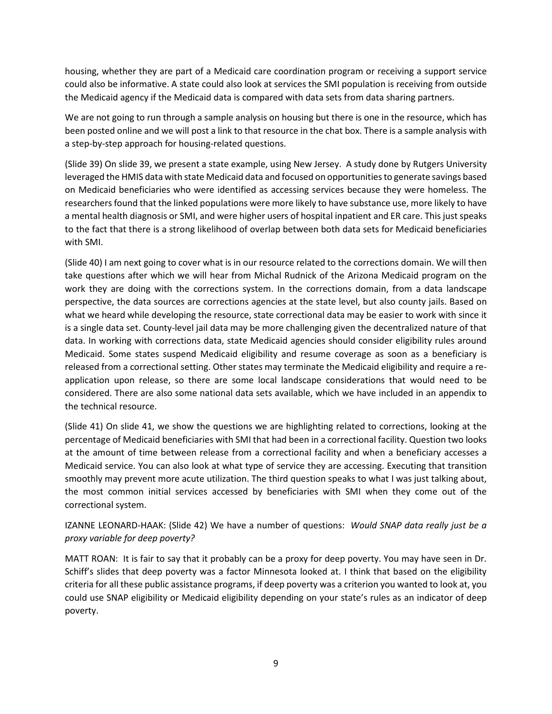housing, whether they are part of a Medicaid care coordination program or receiving a support service could also be informative. A state could also look at services the SMI population is receiving from outside the Medicaid agency if the Medicaid data is compared with data sets from data sharing partners.

We are not going to run through a sample analysis on housing but there is one in the resource, which has been posted online and we will post a link to that resource in the chat box. There is a sample analysis with a step-by-step approach for housing-related questions.

(Slide 39) On slide 39, we present a state example, using New Jersey. A study done by Rutgers University leveraged the HMIS data with state Medicaid data and focused on opportunities to generate savings based on Medicaid beneficiaries who were identified as accessing services because they were homeless. The researchers found that the linked populations were more likely to have substance use, more likely to have a mental health diagnosis or SMI, and were higher users of hospital inpatient and ER care. This just speaks to the fact that there is a strong likelihood of overlap between both data sets for Medicaid beneficiaries with SMI.

(Slide 40) I am next going to cover what is in our resource related to the corrections domain. We will then take questions after which we will hear from Michal Rudnick of the Arizona Medicaid program on the work they are doing with the corrections system. In the corrections domain, from a data landscape perspective, the data sources are corrections agencies at the state level, but also county jails. Based on what we heard while developing the resource, state correctional data may be easier to work with since it is a single data set. County-level jail data may be more challenging given the decentralized nature of that data. In working with corrections data, state Medicaid agencies should consider eligibility rules around Medicaid. Some states suspend Medicaid eligibility and resume coverage as soon as a beneficiary is released from a correctional setting. Other states may terminate the Medicaid eligibility and require a reapplication upon release, so there are some local landscape considerations that would need to be considered. There are also some national data sets available, which we have included in an appendix to the technical resource.

(Slide 41) On slide 41, we show the questions we are highlighting related to corrections, looking at the percentage of Medicaid beneficiaries with SMI that had been in a correctional facility. Question two looks at the amount of time between release from a correctional facility and when a beneficiary accesses a Medicaid service. You can also look at what type of service they are accessing. Executing that transition smoothly may prevent more acute utilization. The third question speaks to what I was just talking about, the most common initial services accessed by beneficiaries with SMI when they come out of the correctional system.

IZANNE LEONARD-HAAK: (Slide 42) We have a number of questions: *Would SNAP data really just be a proxy variable for deep poverty?*

MATT ROAN: It is fair to say that it probably can be a proxy for deep poverty. You may have seen in Dr. Schiff's slides that deep poverty was a factor Minnesota looked at. I think that based on the eligibility criteria for all these public assistance programs, if deep poverty was a criterion you wanted to look at, you could use SNAP eligibility or Medicaid eligibility depending on your state's rules as an indicator of deep poverty.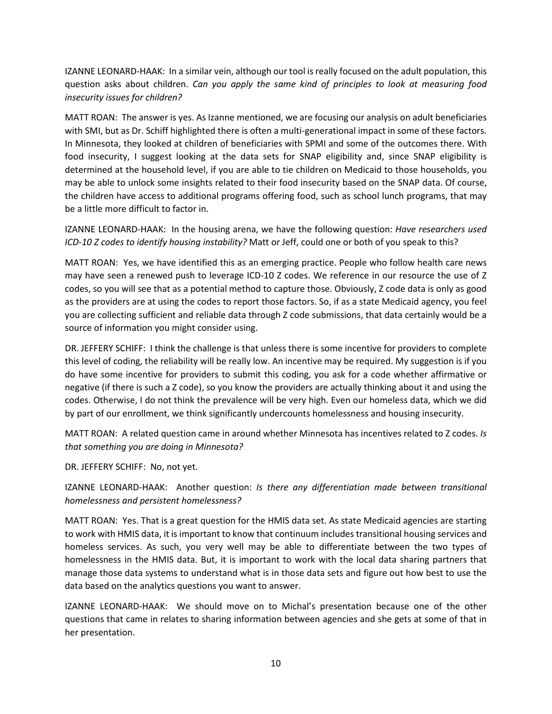IZANNE LEONARD-HAAK: In a similar vein, although our tool is really focused on the adult population, this question asks about children. *Can you apply the same kind of principles to look at measuring food insecurity issues for children?*

MATT ROAN: The answer is yes. As Izanne mentioned, we are focusing our analysis on adult beneficiaries with SMI, but as Dr. Schiff highlighted there is often a multi-generational impact in some of these factors. In Minnesota, they looked at children of beneficiaries with SPMI and some of the outcomes there. With food insecurity, I suggest looking at the data sets for SNAP eligibility and, since SNAP eligibility is determined at the household level, if you are able to tie children on Medicaid to those households, you may be able to unlock some insights related to their food insecurity based on the SNAP data. Of course, the children have access to additional programs offering food, such as school lunch programs, that may be a little more difficult to factor in.

IZANNE LEONARD-HAAK: In the housing arena, we have the following question: *Have researchers used ICD-10 Z codes to identify housing instability?* Matt or Jeff, could one or both of you speak to this?

MATT ROAN: Yes, we have identified this as an emerging practice. People who follow health care news may have seen a renewed push to leverage ICD-10 Z codes. We reference in our resource the use of Z codes, so you will see that as a potential method to capture those. Obviously, Z code data is only as good as the providers are at using the codes to report those factors. So, if as a state Medicaid agency, you feel you are collecting sufficient and reliable data through Z code submissions, that data certainly would be a source of information you might consider using.

DR. JEFFERY SCHIFF: I think the challenge is that unless there is some incentive for providers to complete this level of coding, the reliability will be really low. An incentive may be required. My suggestion is if you do have some incentive for providers to submit this coding, you ask for a code whether affirmative or negative (if there is such a Z code), so you know the providers are actually thinking about it and using the codes. Otherwise, I do not think the prevalence will be very high. Even our homeless data, which we did by part of our enrollment, we think significantly undercounts homelessness and housing insecurity.

MATT ROAN: A related question came in around whether Minnesota has incentives related to Z codes. *Is that something you are doing in Minnesota?*

DR. JEFFERY SCHIFF: No, not yet.

IZANNE LEONARD-HAAK: Another question: *Is there any differentiation made between transitional homelessness and persistent homelessness?*

MATT ROAN: Yes. That is a great question for the HMIS data set. As state Medicaid agencies are starting to work with HMIS data, it is important to know that continuum includes transitional housing services and homeless services. As such, you very well may be able to differentiate between the two types of homelessness in the HMIS data. But, it is important to work with the local data sharing partners that manage those data systems to understand what is in those data sets and figure out how best to use the data based on the analytics questions you want to answer.

IZANNE LEONARD-HAAK: We should move on to Michal's presentation because one of the other questions that came in relates to sharing information between agencies and she gets at some of that in her presentation.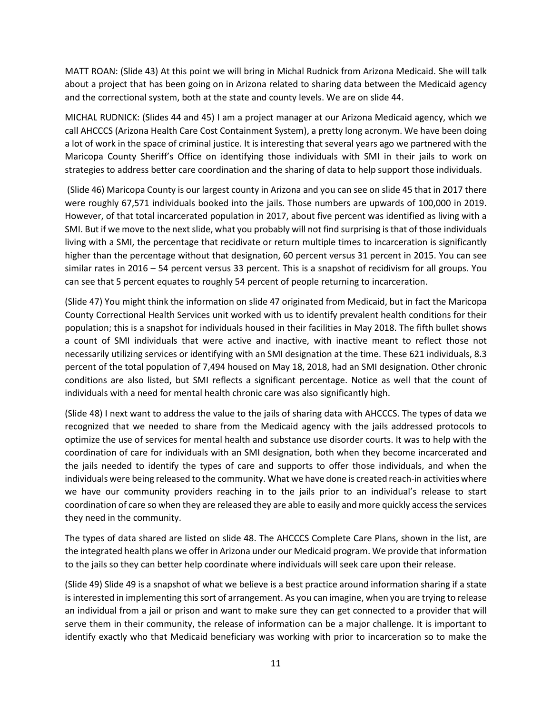MATT ROAN: (Slide 43) At this point we will bring in Michal Rudnick from Arizona Medicaid. She will talk about a project that has been going on in Arizona related to sharing data between the Medicaid agency and the correctional system, both at the state and county levels. We are on slide 44.

MICHAL RUDNICK: (Slides 44 and 45) I am a project manager at our Arizona Medicaid agency, which we call AHCCCS (Arizona Health Care Cost Containment System), a pretty long acronym. We have been doing a lot of work in the space of criminal justice. It is interesting that several years ago we partnered with the Maricopa County Sheriff's Office on identifying those individuals with SMI in their jails to work on strategies to address better care coordination and the sharing of data to help support those individuals.

(Slide 46) Maricopa County is our largest county in Arizona and you can see on slide 45 that in 2017 there were roughly 67,571 individuals booked into the jails. Those numbers are upwards of 100,000 in 2019. However, of that total incarcerated population in 2017, about five percent was identified as living with a SMI. But if we move to the next slide, what you probably will not find surprising is that of those individuals living with a SMI, the percentage that recidivate or return multiple times to incarceration is significantly higher than the percentage without that designation, 60 percent versus 31 percent in 2015. You can see similar rates in 2016 – 54 percent versus 33 percent. This is a snapshot of recidivism for all groups. You can see that 5 percent equates to roughly 54 percent of people returning to incarceration.

(Slide 47) You might think the information on slide 47 originated from Medicaid, but in fact the Maricopa County Correctional Health Services unit worked with us to identify prevalent health conditions for their population; this is a snapshot for individuals housed in their facilities in May 2018. The fifth bullet shows a count of SMI individuals that were active and inactive, with inactive meant to reflect those not necessarily utilizing services or identifying with an SMI designation at the time. These 621 individuals, 8.3 percent of the total population of 7,494 housed on May 18, 2018, had an SMI designation. Other chronic conditions are also listed, but SMI reflects a significant percentage. Notice as well that the count of individuals with a need for mental health chronic care was also significantly high.

(Slide 48) I next want to address the value to the jails of sharing data with AHCCCS. The types of data we recognized that we needed to share from the Medicaid agency with the jails addressed protocols to optimize the use of services for mental health and substance use disorder courts. It was to help with the coordination of care for individuals with an SMI designation, both when they become incarcerated and the jails needed to identify the types of care and supports to offer those individuals, and when the individuals were being released to the community. What we have done is created reach-in activities where we have our community providers reaching in to the jails prior to an individual's release to start coordination of care so when they are released they are able to easily and more quickly access the services they need in the community.

The types of data shared are listed on slide 48. The AHCCCS Complete Care Plans, shown in the list, are the integrated health plans we offer in Arizona under our Medicaid program. We provide that information to the jails so they can better help coordinate where individuals will seek care upon their release.

(Slide 49) Slide 49 is a snapshot of what we believe is a best practice around information sharing if a state is interested in implementing this sort of arrangement. As you can imagine, when you are trying to release an individual from a jail or prison and want to make sure they can get connected to a provider that will serve them in their community, the release of information can be a major challenge. It is important to identify exactly who that Medicaid beneficiary was working with prior to incarceration so to make the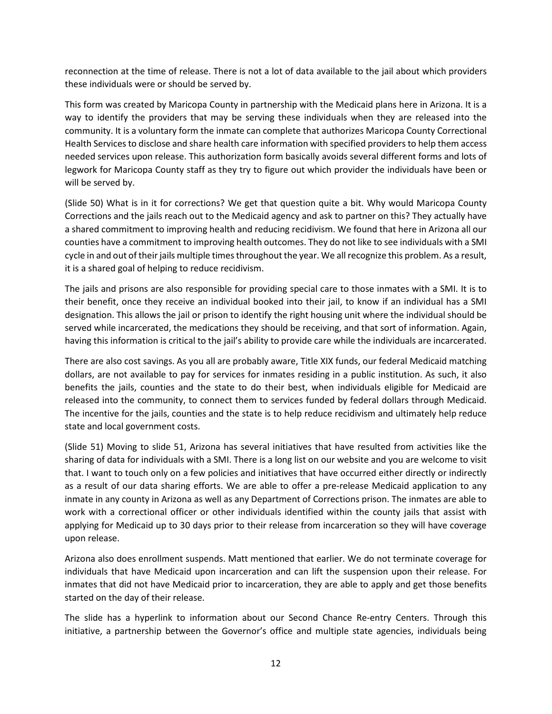reconnection at the time of release. There is not a lot of data available to the jail about which providers these individuals were or should be served by.

This form was created by Maricopa County in partnership with the Medicaid plans here in Arizona. It is a way to identify the providers that may be serving these individuals when they are released into the community. It is a voluntary form the inmate can complete that authorizes Maricopa County Correctional Health Services to disclose and share health care information with specified providers to help them access needed services upon release. This authorization form basically avoids several different forms and lots of legwork for Maricopa County staff as they try to figure out which provider the individuals have been or will be served by.

(Slide 50) What is in it for corrections? We get that question quite a bit. Why would Maricopa County Corrections and the jails reach out to the Medicaid agency and ask to partner on this? They actually have a shared commitment to improving health and reducing recidivism. We found that here in Arizona all our counties have a commitment to improving health outcomes. They do not like to see individuals with a SMI cycle in and out of their jails multiple times throughout the year. We all recognize this problem. As a result, it is a shared goal of helping to reduce recidivism.

The jails and prisons are also responsible for providing special care to those inmates with a SMI. It is to their benefit, once they receive an individual booked into their jail, to know if an individual has a SMI designation. This allows the jail or prison to identify the right housing unit where the individual should be served while incarcerated, the medications they should be receiving, and that sort of information. Again, having this information is critical to the jail's ability to provide care while the individuals are incarcerated.

There are also cost savings. As you all are probably aware, Title XIX funds, our federal Medicaid matching dollars, are not available to pay for services for inmates residing in a public institution. As such, it also benefits the jails, counties and the state to do their best, when individuals eligible for Medicaid are released into the community, to connect them to services funded by federal dollars through Medicaid. The incentive for the jails, counties and the state is to help reduce recidivism and ultimately help reduce state and local government costs.

(Slide 51) Moving to slide 51, Arizona has several initiatives that have resulted from activities like the sharing of data for individuals with a SMI. There is a long list on our website and you are welcome to visit that. I want to touch only on a few policies and initiatives that have occurred either directly or indirectly as a result of our data sharing efforts. We are able to offer a pre-release Medicaid application to any inmate in any county in Arizona as well as any Department of Corrections prison. The inmates are able to work with a correctional officer or other individuals identified within the county jails that assist with applying for Medicaid up to 30 days prior to their release from incarceration so they will have coverage upon release.

Arizona also does enrollment suspends. Matt mentioned that earlier. We do not terminate coverage for individuals that have Medicaid upon incarceration and can lift the suspension upon their release. For inmates that did not have Medicaid prior to incarceration, they are able to apply and get those benefits started on the day of their release.

The slide has a hyperlink to information about our Second Chance Re-entry Centers. Through this initiative, a partnership between the Governor's office and multiple state agencies, individuals being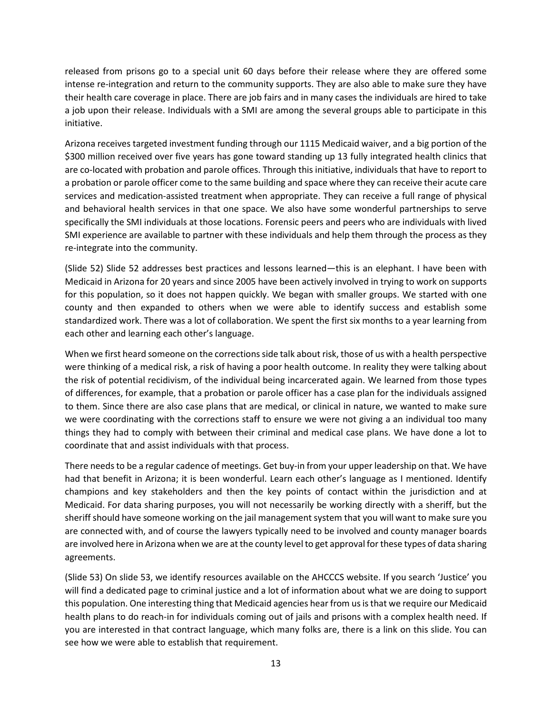released from prisons go to a special unit 60 days before their release where they are offered some intense re-integration and return to the community supports. They are also able to make sure they have their health care coverage in place. There are job fairs and in many cases the individuals are hired to take a job upon their release. Individuals with a SMI are among the several groups able to participate in this initiative.

Arizona receives targeted investment funding through our 1115 Medicaid waiver, and a big portion of the \$300 million received over five years has gone toward standing up 13 fully integrated health clinics that are co-located with probation and parole offices. Through this initiative, individuals that have to report to a probation or parole officer come to the same building and space where they can receive their acute care services and medication-assisted treatment when appropriate. They can receive a full range of physical and behavioral health services in that one space. We also have some wonderful partnerships to serve specifically the SMI individuals at those locations. Forensic peers and peers who are individuals with lived SMI experience are available to partner with these individuals and help them through the process as they re-integrate into the community.

(Slide 52) Slide 52 addresses best practices and lessons learned—this is an elephant. I have been with Medicaid in Arizona for 20 years and since 2005 have been actively involved in trying to work on supports for this population, so it does not happen quickly. We began with smaller groups. We started with one county and then expanded to others when we were able to identify success and establish some standardized work. There was a lot of collaboration. We spent the first six months to a year learning from each other and learning each other's language.

When we first heard someone on the corrections side talk about risk, those of us with a health perspective were thinking of a medical risk, a risk of having a poor health outcome. In reality they were talking about the risk of potential recidivism, of the individual being incarcerated again. We learned from those types of differences, for example, that a probation or parole officer has a case plan for the individuals assigned to them. Since there are also case plans that are medical, or clinical in nature, we wanted to make sure we were coordinating with the corrections staff to ensure we were not giving a an individual too many things they had to comply with between their criminal and medical case plans. We have done a lot to coordinate that and assist individuals with that process.

There needs to be a regular cadence of meetings. Get buy-in from your upper leadership on that. We have had that benefit in Arizona; it is been wonderful. Learn each other's language as I mentioned. Identify champions and key stakeholders and then the key points of contact within the jurisdiction and at Medicaid. For data sharing purposes, you will not necessarily be working directly with a sheriff, but the sheriff should have someone working on the jail management system that you will want to make sure you are connected with, and of course the lawyers typically need to be involved and county manager boards are involved here in Arizona when we are at the county level to get approval for these types of data sharing agreements.

(Slide 53) On slide 53, we identify resources available on the AHCCCS website. If you search 'Justice' you will find a dedicated page to criminal justice and a lot of information about what we are doing to support this population. One interesting thing that Medicaid agencies hear from us is that we require our Medicaid health plans to do reach-in for individuals coming out of jails and prisons with a complex health need. If you are interested in that contract language, which many folks are, there is a link on this slide. You can see how we were able to establish that requirement.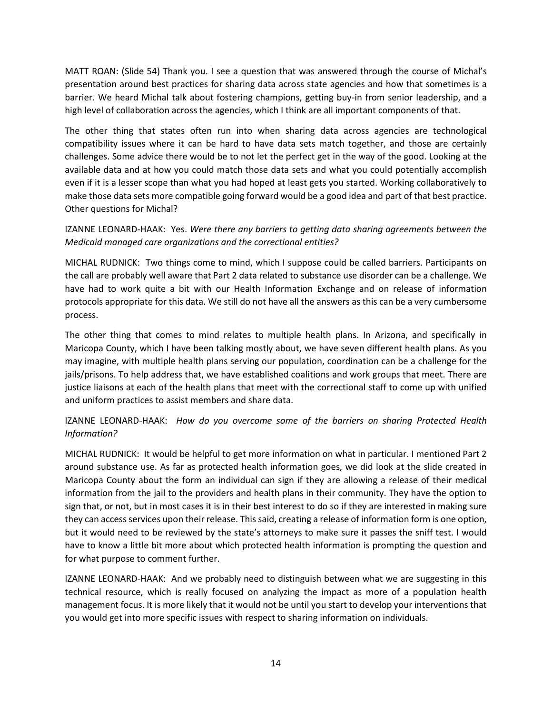MATT ROAN: (Slide 54) Thank you. I see a question that was answered through the course of Michal's presentation around best practices for sharing data across state agencies and how that sometimes is a barrier. We heard Michal talk about fostering champions, getting buy-in from senior leadership, and a high level of collaboration across the agencies, which I think are all important components of that.

The other thing that states often run into when sharing data across agencies are technological compatibility issues where it can be hard to have data sets match together, and those are certainly challenges. Some advice there would be to not let the perfect get in the way of the good. Looking at the available data and at how you could match those data sets and what you could potentially accomplish even if it is a lesser scope than what you had hoped at least gets you started. Working collaboratively to make those data sets more compatible going forward would be a good idea and part of that best practice. Other questions for Michal?

### IZANNE LEONARD-HAAK: Yes. *Were there any barriers to getting data sharing agreements between the Medicaid managed care organizations and the correctional entities?*

MICHAL RUDNICK: Two things come to mind, which I suppose could be called barriers. Participants on the call are probably well aware that Part 2 data related to substance use disorder can be a challenge. We have had to work quite a bit with our Health Information Exchange and on release of information protocols appropriate for this data. We still do not have all the answers as this can be a very cumbersome process.

The other thing that comes to mind relates to multiple health plans. In Arizona, and specifically in Maricopa County, which I have been talking mostly about, we have seven different health plans. As you may imagine, with multiple health plans serving our population, coordination can be a challenge for the jails/prisons. To help address that, we have established coalitions and work groups that meet. There are justice liaisons at each of the health plans that meet with the correctional staff to come up with unified and uniform practices to assist members and share data.

## IZANNE LEONARD-HAAK: *How do you overcome some of the barriers on sharing Protected Health Information?*

MICHAL RUDNICK: It would be helpful to get more information on what in particular. I mentioned Part 2 around substance use. As far as protected health information goes, we did look at the slide created in Maricopa County about the form an individual can sign if they are allowing a release of their medical information from the jail to the providers and health plans in their community. They have the option to sign that, or not, but in most cases it is in their best interest to do so if they are interested in making sure they can access services upon their release. This said, creating a release of information form is one option, but it would need to be reviewed by the state's attorneys to make sure it passes the sniff test. I would have to know a little bit more about which protected health information is prompting the question and for what purpose to comment further.

IZANNE LEONARD-HAAK: And we probably need to distinguish between what we are suggesting in this technical resource, which is really focused on analyzing the impact as more of a population health management focus. It is more likely that it would not be until you start to develop your interventions that you would get into more specific issues with respect to sharing information on individuals.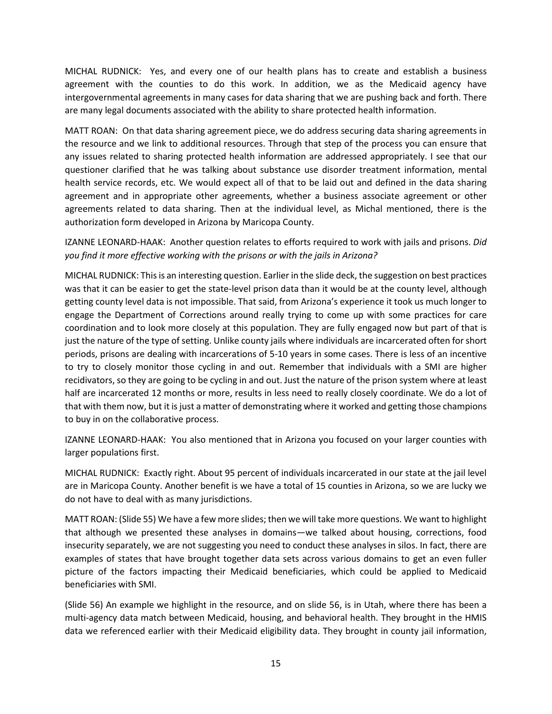MICHAL RUDNICK: Yes, and every one of our health plans has to create and establish a business agreement with the counties to do this work. In addition, we as the Medicaid agency have intergovernmental agreements in many cases for data sharing that we are pushing back and forth. There are many legal documents associated with the ability to share protected health information.

MATT ROAN: On that data sharing agreement piece, we do address securing data sharing agreements in the resource and we link to additional resources. Through that step of the process you can ensure that any issues related to sharing protected health information are addressed appropriately. I see that our questioner clarified that he was talking about substance use disorder treatment information, mental health service records, etc. We would expect all of that to be laid out and defined in the data sharing agreement and in appropriate other agreements, whether a business associate agreement or other agreements related to data sharing. Then at the individual level, as Michal mentioned, there is the authorization form developed in Arizona by Maricopa County.

IZANNE LEONARD-HAAK: Another question relates to efforts required to work with jails and prisons. *Did you find it more effective working with the prisons or with the jails in Arizona?*

MICHAL RUDNICK: This is an interesting question. Earlier in the slide deck, the suggestion on best practices was that it can be easier to get the state-level prison data than it would be at the county level, although getting county level data is not impossible. That said, from Arizona's experience it took us much longer to engage the Department of Corrections around really trying to come up with some practices for care coordination and to look more closely at this population. They are fully engaged now but part of that is just the nature of the type of setting. Unlike county jails where individuals are incarcerated often for short periods, prisons are dealing with incarcerations of 5-10 years in some cases. There is less of an incentive to try to closely monitor those cycling in and out. Remember that individuals with a SMI are higher recidivators, so they are going to be cycling in and out. Just the nature of the prison system where at least half are incarcerated 12 months or more, results in less need to really closely coordinate. We do a lot of that with them now, but it is just a matter of demonstrating where it worked and getting those champions to buy in on the collaborative process.

IZANNE LEONARD-HAAK: You also mentioned that in Arizona you focused on your larger counties with larger populations first.

MICHAL RUDNICK: Exactly right. About 95 percent of individuals incarcerated in our state at the jail level are in Maricopa County. Another benefit is we have a total of 15 counties in Arizona, so we are lucky we do not have to deal with as many jurisdictions.

MATT ROAN: (Slide 55) We have a few more slides; then we will take more questions. We want to highlight that although we presented these analyses in domains—we talked about housing, corrections, food insecurity separately, we are not suggesting you need to conduct these analyses in silos. In fact, there are examples of states that have brought together data sets across various domains to get an even fuller picture of the factors impacting their Medicaid beneficiaries, which could be applied to Medicaid beneficiaries with SMI.

(Slide 56) An example we highlight in the resource, and on slide 56, is in Utah, where there has been a multi-agency data match between Medicaid, housing, and behavioral health. They brought in the HMIS data we referenced earlier with their Medicaid eligibility data. They brought in county jail information,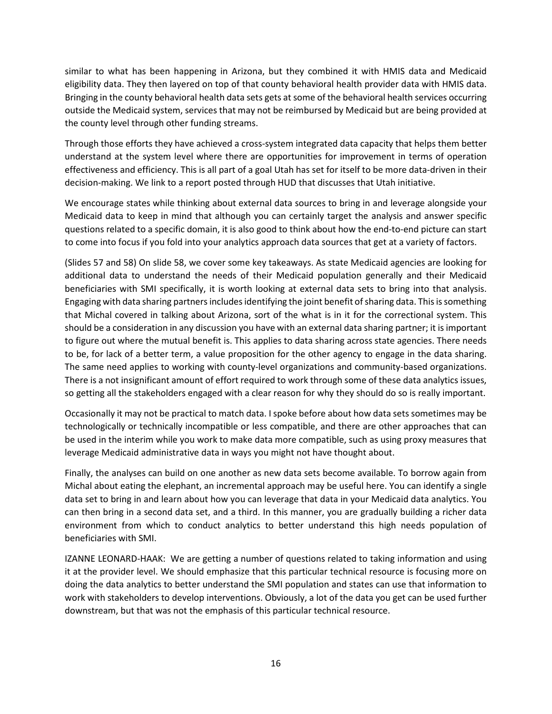similar to what has been happening in Arizona, but they combined it with HMIS data and Medicaid eligibility data. They then layered on top of that county behavioral health provider data with HMIS data. Bringing in the county behavioral health data sets gets at some of the behavioral health services occurring outside the Medicaid system, services that may not be reimbursed by Medicaid but are being provided at the county level through other funding streams.

Through those efforts they have achieved a cross-system integrated data capacity that helps them better understand at the system level where there are opportunities for improvement in terms of operation effectiveness and efficiency. This is all part of a goal Utah has set for itself to be more data-driven in their decision-making. We link to a report posted through HUD that discusses that Utah initiative.

We encourage states while thinking about external data sources to bring in and leverage alongside your Medicaid data to keep in mind that although you can certainly target the analysis and answer specific questions related to a specific domain, it is also good to think about how the end-to-end picture can start to come into focus if you fold into your analytics approach data sources that get at a variety of factors.

(Slides 57 and 58) On slide 58, we cover some key takeaways. As state Medicaid agencies are looking for additional data to understand the needs of their Medicaid population generally and their Medicaid beneficiaries with SMI specifically, it is worth looking at external data sets to bring into that analysis. Engaging with data sharing partners includes identifying the joint benefit of sharing data. This is something that Michal covered in talking about Arizona, sort of the what is in it for the correctional system. This should be a consideration in any discussion you have with an external data sharing partner; it is important to figure out where the mutual benefit is. This applies to data sharing across state agencies. There needs to be, for lack of a better term, a value proposition for the other agency to engage in the data sharing. The same need applies to working with county-level organizations and community-based organizations. There is a not insignificant amount of effort required to work through some of these data analytics issues, so getting all the stakeholders engaged with a clear reason for why they should do so is really important.

Occasionally it may not be practical to match data. I spoke before about how data sets sometimes may be technologically or technically incompatible or less compatible, and there are other approaches that can be used in the interim while you work to make data more compatible, such as using proxy measures that leverage Medicaid administrative data in ways you might not have thought about.

Finally, the analyses can build on one another as new data sets become available. To borrow again from Michal about eating the elephant, an incremental approach may be useful here. You can identify a single data set to bring in and learn about how you can leverage that data in your Medicaid data analytics. You can then bring in a second data set, and a third. In this manner, you are gradually building a richer data environment from which to conduct analytics to better understand this high needs population of beneficiaries with SMI.

IZANNE LEONARD-HAAK: We are getting a number of questions related to taking information and using it at the provider level. We should emphasize that this particular technical resource is focusing more on doing the data analytics to better understand the SMI population and states can use that information to work with stakeholders to develop interventions. Obviously, a lot of the data you get can be used further downstream, but that was not the emphasis of this particular technical resource.